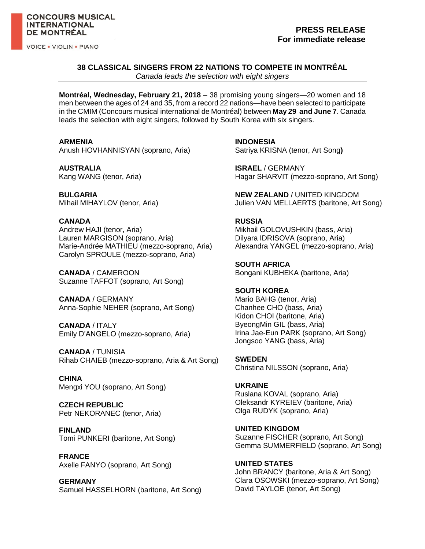**VOICE . VIOLIN . PIANO** 

# **PRESS RELEASE For immediate release**

## **38 CLASSICAL SINGERS FROM 22 NATIONS TO COMPETE IN MONTRÉAL**

*Canada leads the selection with eight singers* 

**Montréal, Wednesday, February 21, 2018** – 38 promising young singers—20 women and 18 men between the ages of 24 and 35, from a record 22 nations—have been selected to participate in the CMIM (Concours musical international de Montréal) between **May 29 and June 7**. Canada leads the selection with eight singers, followed by South Korea with six singers[.](http://concoursmontreal.ca/fr/nos-concours/piano/concurrents/)

**ARMENIA**

Anush HOVHANNISYAN (soprano, Aria)

**AUSTRALIA** Kang WANG (tenor, Aria)

**BULGARIA** Mihail MIHAYLOV (tenor, Aria)

## **CANADA**

Andrew HAJI (tenor, Aria) Lauren MARGISON (soprano, Aria) Marie-Andrée MATHIEU (mezzo-soprano, Aria) Carolyn SPROULE (mezzo-soprano, Aria)

**CANADA** / CAMEROON Suzanne TAFFOT (soprano, Art Song)

**CANADA** / GERMANY Anna-Sophie NEHER (soprano, Art Song)

**CANADA** / ITALY Emily D'ANGELO (mezzo-soprano, Aria)

**CANADA** / TUNISIA Rihab CHAIEB (mezzo-soprano, Aria & Art Song)

**CHINA** Mengxi YOU (soprano, Art Song)

**CZECH REPUBLIC** Petr NEKORANEC (tenor, Aria)

**FINLAND** Tomi PUNKERI (baritone, Art Song)

**FRANCE** Axelle FANYO (soprano, Art Song)

**GERMANY** Samuel HASSELHORN (baritone, Art Song) **INDONESIA** Satriya KRISNA (tenor, Art Song**)**

**ISRAEL** / GERMANY Hagar SHARVIT (mezzo-soprano, Art Song)

**NEW ZEALAND** / UNITED KINGDOM Julien VAN MELLAERTS (baritone, Art Song)

### **RUSSIA**

Mikhail GOLOVUSHKIN (bass, Aria) Dilyara IDRISOVA (soprano, Aria) Alexandra YANGEL (mezzo-soprano, Aria)

**SOUTH AFRICA** Bongani KUBHEKA (baritone, Aria)

**SOUTH KOREA**

Mario BAHG (tenor, Aria) Chanhee CHO (bass, Aria) Kidon CHOI (baritone, Aria) ByeongMin GIL (bass, Aria) Irina Jae-Eun PARK (soprano, Art Song) Jongsoo YANG (bass, Aria)

**SWEDEN** Christina NILSSON (soprano, Aria)

**UKRAINE** Ruslana KOVAL (soprano, Aria) Oleksandr KYREIEV (baritone, Aria) Olga RUDYK (soprano, Aria)

**UNITED KINGDOM** Suzanne FISCHER (soprano, Art Song) Gemma SUMMERFIELD (soprano, Art Song)

**UNITED STATES** John BRANCY (baritone, Aria & Art Song) Clara OSOWSKI (mezzo-soprano, Art Song) David TAYLOE (tenor, Art Song)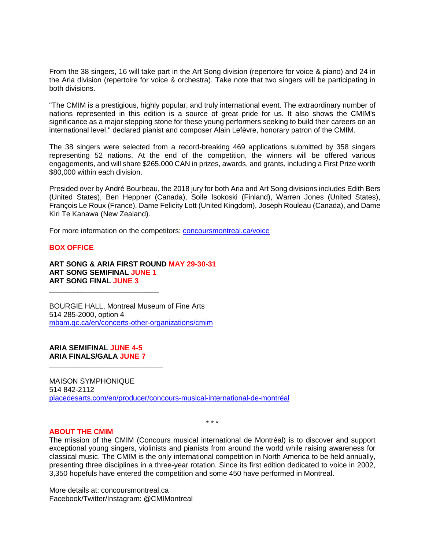From the 38 singers, 16 will take part in the Art Song division (repertoire for voice & piano) and 24 in the Aria division (repertoire for voice & orchestra). Take note that two singers will be participating in both divisions.

"The CMIM is a prestigious, highly popular, and truly international event. The extraordinary number of nations represented in this edition is a source of great pride for us. It also shows the CMIM's significance as a major stepping stone for these young performers seeking to build their careers on an international level," declared pianist and composer Alain Lefèvre, honorary patron of the CMIM.

The 38 singers were selected from a record-breaking 469 applications submitted by 358 singers representing 52 nations. At the end of the competition, the winners will be offered various engagements, and will share \$265,000 CAN in prizes, awards, and grants, including a First Prize worth \$80,000 within each division.

Presided over by André Bourbeau, the 2018 jury for both Aria and Art Song divisions includes Edith Bers (United States), Ben Heppner (Canada), Soile Isokoski (Finland), Warren Jones (United States), François Le Roux (France), Dame Felicity Lott (United Kingdom), Joseph Rouleau (Canada), and Dame Kiri Te Kanawa (New Zealand).

For more information on the competitors: [concoursmontreal.ca/voice](https://concoursmontreal.ca/en/the-competitions/voice/)

#### **BOX OFFICE**

**ART SONG & ARIA FIRST ROUND MAY 29-30-31 ART SONG SEMIFINAL JUNE 1 ART SONG FINAL JUNE 3**

BOURGIE HALL, Montreal Museum of Fine Arts 514 285-2000, option 4 [mbam.qc.ca/en/concerts-other-organizations/cmim](https://www.mbam.qc.ca/en/concerts-other-organizations/cmim/)

**ARIA SEMIFINAL JUNE 4-5 ARIA FINALS/GALA JUNE 7**

**\_\_\_\_\_\_\_\_\_\_\_\_\_\_\_\_\_\_\_\_\_\_\_\_\_\_\_\_**

**\_\_\_\_\_\_\_\_\_\_\_\_\_\_\_\_\_\_\_\_\_\_\_\_\_\_\_**

MAISON SYMPHONIQUE 514 842-2112 [placedesarts.com/en/producer/concours-musical-international-de-montréal](https://placedesarts.com/en/producer/concours-musical-international-de-montréal)

\* \* \*

#### **ABOUT THE CMIM**

The mission of the CMIM (Concours musical international de Montréal) is to discover and support exceptional young singers, violinists and pianists from around the world while raising awareness for classical music. The CMIM is the only international competition in North America to be held annually, presenting three disciplines in a three-year rotation. Since its first edition dedicated to voice in 2002, 3,350 hopefuls have entered the competition and some 450 have performed in Montreal.

More details at: concoursmontreal.ca Facebook/Twitter/Instagram: @CMIMontreal